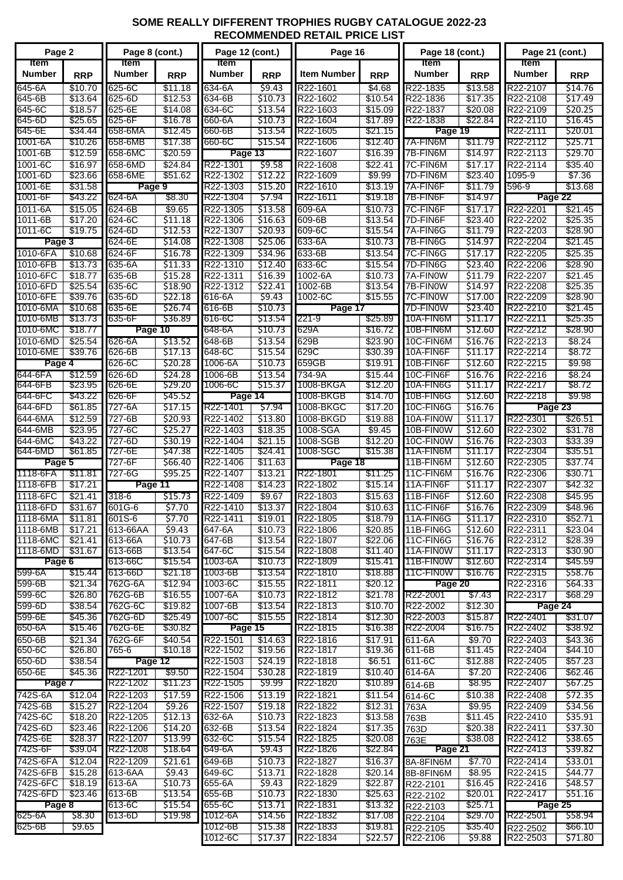## **SOME REALLY DIFFERENT TROPHIES RUGBY CATALOGUE 2022-23 RECOMMENDED RETAIL PRICE LIST**

| Page 2                                     |                    | Page 8 (cont.)        |                    | Page 12 (cont.)       |                    | Page 16                |                    | Page 18 (cont.)              |                    | Page 21 (cont.)       |                    |
|--------------------------------------------|--------------------|-----------------------|--------------------|-----------------------|--------------------|------------------------|--------------------|------------------------------|--------------------|-----------------------|--------------------|
| ltem<br><b>Number</b>                      | <b>RRP</b>         | <b>Item</b><br>Number | <b>RRP</b>         | <b>Item</b><br>Number | <b>RRP</b>         | <b>Item Number</b>     | <b>RRP</b>         | <b>Item</b><br><b>Number</b> | <b>RRP</b>         | ltem<br><b>Number</b> | <b>RRP</b>         |
| 645-6A                                     | \$10.70            | 625-6C                | \$11.18            | 634-6A                | \$9.43             | R22-1601               | \$4.68             | R22-1835                     | \$13.58            | R22-2107              | \$14.76            |
| 645-6B                                     | \$13.64            | 625-6D                | \$12.53            | 634-6B                | 510.73             | R22-1602               | \$10.54            | R22-1836                     | \$17.35            | R22-2108              | \$17.49            |
| 645-6C<br>645-6D                           | \$18.57<br>\$25.65 | 625-6E<br>625-6F      | \$14.08<br>\$16.78 | 634-6C<br>660-6A      | \$13.54<br>\$10.73 | R22-1603<br>R22-1604   | \$15.09<br>\$17.89 | R22-1837<br>R22-1838         | \$20.08<br>\$22.84 | R22-2109<br>R22-2110  | \$20.25<br>\$16.45 |
| 645-6E                                     | \$34.44            | 658-6MA               | \$12.45            | 660-6B                | \$13.54            | R22-1605               | \$21.15            | Page 19                      |                    | R22-2111              | \$20.01            |
| 1001-6A                                    | \$10.26            | 658-6MB               | \$17.38            | 660-6C                | \$15.54            | R22-1606               | \$12.40            | 7A-FIN6M                     | \$11.79            | R22-2112              | \$25.71            |
| 1001-6B                                    | \$12.59            | 658-6MC               | \$20.59            | Page 13               |                    | R22-1607               | \$16.39            | 7B-FIN6M                     | \$14.97            | R22-2113              | \$29.70            |
| 1001-6C<br>1001-6D                         | \$16.97            | 658-6MD<br>658-6ME    | \$24.84<br>\$51.62 | R22-1301<br>R22-1302  | \$9.58<br>\$12.22  | R22-1608<br>R22-1609   | \$22.41<br>\$9.99  | 7C-FIN6M<br>7D-FIN6M         | \$17.17<br>\$23.40 | R22-2114<br>1095-9    | \$35.40<br>\$7.36  |
| 1001-6E                                    | \$23.66<br>\$31.58 | Page 9                |                    | R22-1303              | \$15.20            | R22-1610               | \$13.19            | 7A-FIN6F                     | \$11.79            | 596-9                 | \$13.68            |
| 1001-6F                                    | \$43.22            | 624-6A                | \$8.30             | R22-1304              | \$7.94             | R22-1611               | \$19.18            | 7B-FIN6F                     | \$14.97            | Page 22               |                    |
| 1011-6A                                    | \$15.05            | 624-6B                | \$9.65             | R22-1305              | \$13.58            | 609-6A                 | \$10.73            | 7C-FIN6F                     | \$17.17            | R22-2201              | \$21.45            |
| 1011-6B                                    | \$17.20            | 624-6C                | \$11.18            | R22-1306              | \$16.63            | 609-6B                 | \$13.54            | 7D-FIN6F                     | \$23.40            | R22-2202              | \$25.35            |
| 1011-6C                                    | \$19.75            | 624-6D                | \$12.53            | R22-1307              | \$20.93            | 609-6C                 | \$15.54            | 7A-FIN6G                     | \$11.79            | R22-2203              | \$28.90            |
| Page 3<br>1010-6FA                         |                    | 624-6E<br>624-6F      | \$14.08            | R22-1308<br>R22-1309  | \$25.06            | 633-6A                 | \$10.73            | 7B-FIN6G<br>7C-FIN6G         | \$14.97            | R22-2204              | \$21.45            |
| 1010-6FB                                   | \$10.68<br>\$13.73 | 635-6A                | \$16.78<br>\$11.33 | R22-1310              | \$34.96<br>\$12.40 | 633-6B<br>633-6C       | \$13.54<br>\$15.54 | 7D-FIN6G                     | \$17.17<br>\$23.40 | R22-2205<br>R22-2206  | \$25.35<br>\$28.90 |
| 1010-6FC                                   | \$18.77            | 635-6B                | \$15.28            | R22-1311              | \$16.39            | 1002-6A                | \$10.73            | 7A-FIN0W                     | \$11.79            | R22-2207              | \$21.45            |
| 1010-6FD                                   | \$25.54            | 635-6C                | \$18.90            | R22-1312              | \$22.41            | 1002-6B                | \$13.54            | 7B-FIN0W                     | \$14.97            | R22-2208              | \$25.35            |
| 1010-6FE                                   | \$39.76            | 635-6D                | \$22.18            | 616-6A                | \$9.43             | 1002-6C                | \$15.55            | 7C-FIN0W                     | \$17.00            | R22-2209              | \$28.90            |
| 1010-6MA                                   | \$10.68            | 635-6E                | \$26.74            | 616-6B                | \$10.73            | Page 17                |                    | 7D-FIN0W                     | \$23.40            | R22-2210              | \$21.45            |
| 1010-6MB<br>1010-6MC                       | \$13.73<br>\$18.77 | 635-6F<br>Page 10     | \$36.89            | 616-6C<br>648-6A      | \$13.54<br>\$10.73 | 221-9<br>629A          | \$25.89<br>\$16.72 | 10A-FIN6M<br>10B-FIN6M       | \$11.17<br>\$12.60 | R22-2211<br>R22-2212  | \$25.35<br>\$28.90 |
| 1010-6MD                                   | \$25.54            | 626-6A                | \$13.52            | 648-6B                | \$13.54            | 629B                   | \$23.90            | 10C-FIN6M                    | \$16.76            | R22-2213              | \$8.24             |
| 1010-6ME                                   | \$39.76            | 626-6B                | \$17.13            | 648-6C                | \$15.54            | 629C                   | \$30.39            | 10A-FIN6F                    | \$11.17            | R22-2214              | \$8.72             |
| Page 4                                     |                    | 626-6C                | \$20.28            | 1006-6A               | \$10.73            | 659GB                  | \$19.91            | 10B-FIN6F                    | \$12.60            | R22-2215              | \$9.98             |
| 644-6FA                                    | \$12.59            | 626-6D                | \$24.28            | 1006-6B               | \$13.54            | 734-9A                 | \$15.44            | 10C-FIN6F                    | \$16.76            | R22-2216              | \$8.24             |
| 644-6FB                                    | \$23.95            | 626-6E                | \$29.20            | 1006-6C               | \$15.37            | 1008-BKGA              | \$12.20            | 10A-FIN6G                    | \$11.17            | R22-2217              | \$8.72             |
| 644-6FC<br>644-6FD                         | \$43.22<br>\$61.85 | 626-6F<br>727-6A      | \$45.52<br>\$17.15 | Page 14<br>R22-1401   | \$7.94             | 1008-BKGB<br>1008-BKGC | \$14.70<br>\$17.20 | 10B-FIN6G<br>10C-FIN6G       | \$12.60<br>\$16.76 | R22-2218<br>Page 23   | \$9.98             |
| 644-6MA                                    | \$12.59            | 727-6B                | \$20.93            | R22-1402              | \$13.80            | 1008-BKGD              | \$19.88            | 10A-FIN0W                    | \$11.17            | R22-2301              | \$26.51            |
| 644-6MB                                    | \$23.95            | 727-6C                | \$25.27            | R22-1403              | \$18.35            | 1008-SGA               | \$9.45             | 10B-FIN0W                    | \$12.60            | R22-2302              | \$31.78            |
| 644-6MC                                    | \$43.22            | 727-6D                | \$30.19            | R22-1404              | \$21.15            | 1008-SGB               | \$12.20            | 10C-FIN0W                    | \$16.76            | R22-2303              | \$33.39            |
| 644-6MD                                    | \$61.85            | 727-6E                | \$47.38            | R22-1405              | \$24.41            | 1008-SGC               | \$15.38            | 11A-FIN6M                    | \$11.17            | R22-2304              | \$35.51            |
| Page 5                                     |                    | 727-6F<br>727-6G      | \$66.40            | R22-1406              | \$11.63            | Page 18<br>R22-1801    |                    | 11B-FIN6M                    | \$12.60            | R22-2305              | \$37.74            |
| 1118-6FA<br>\$11.81<br>1118-6FB<br>\$17.21 |                    | Page 11               | \$95.25            | R22-1407<br>R22-1408  | \$13.21<br>\$14.23 | R22-1802               | \$11.25<br>\$15.14 | 11C-FIN6M<br>11A-FIN6F       | \$16.76<br>\$11.17 | R22-2306<br>R22-2307  | \$30.71<br>\$42.32 |
| 1118-6FC                                   | \$21.41            | 318-6                 | \$15.73            | R22-1409              | \$9.67             | R22-1803               | \$15.63            | 11B-FIN6F                    | \$12.60            | R22-2308              | \$45.95            |
| 1118-6FD                                   | \$31.67            | 601G-6                | \$7.70             | R22-1410              | \$13.37            | R22-1804               | \$10.63            | 11C-FIN6F                    | \$16.76            | R22-2309              | \$48.96            |
| 1118-6MA                                   | \$11.81            | 601S-6                | \$7.70             | R22-1411              | \$19.01            | R22-1805               | \$18.79            | 11A-FIN6G                    | \$11.17            | R22-2310              | \$52.71            |
| 1118-6MB                                   | \$17.21            | 613-66AA              | \$9.43             | 647-6A                | \$10.73            | R22-1806               | \$20.85            | 11B-FIN6G                    | \$12.60            | R22-2311              | \$23.04            |
| 1118-6MC<br>1118-6MD                       | \$21.41<br>\$31.67 | 613-66A<br>613-66B    | \$10.73<br>\$13.54 | 647-6B<br>647-6C      | \$13.54<br>\$15.54 | R22-1807<br>R22-1808   | \$22.06<br>\$11.40 | 11C-FIN6G<br>11A-FINOW       | \$16.76<br>\$11.17 | R22-2312<br>R22-2313  | \$28.39<br>\$30.90 |
| Page 6                                     |                    | 613-66C               | \$15.54            | 1003-6A               | \$10.73            | R22-1809               | \$15.41            | 11B-FINOW                    | \$12.60            | R22-2314              | \$45.59            |
| 599-6A                                     | \$15.44            | 613-66D               | \$21.18            | 1003-6B               | \$13.54            | R22-1810               | \$18.88            | 11C-FIN0W                    | \$16.76            | R22-2315              | \$58.76            |
| 599-6B                                     | \$21.34            | 762G-6A               | \$12.94            | 1003-6C               | \$15.55            | R22-1811               | \$20.12            | Page 20                      |                    | R22-2316              | \$64.33            |
| 599-6C                                     | \$26.80            | 762G-6B               | \$16.55            | 1007-6A               | \$10.73            | R22-1812               | \$21.78            | R22-2001                     | \$7.43             | R22-2317              | \$68.29            |
| 599-6D                                     | \$38.54            | 762G-6C<br>762G-6D    | \$19.82            | 1007-6B               | \$13.54            | R22-1813<br>R22-1814   | \$10.70            | R22-2002                     | \$12.30            | Page 24               |                    |
| 599-6E<br>650-6A                           | \$45.36<br>\$15.46 | 762G-6E               | \$25.49<br>\$30.82 | 1007-6C<br>Page 15    | \$15.55            | R22-1815               | \$12.30<br>\$16.38 | R22-2003<br>R22-2004         | \$15.87<br>\$16.75 | R22-2401<br>R22-2402  | \$31.07<br>\$38.92 |
| 650-6B                                     | \$21.34            | 762G-6F               | \$40.54            | R22-1501              | \$14.63            | R22-1816               | \$17.91            | 611-6A                       | \$9.70             | R22-2403              | \$43.36            |
| 650-6C                                     | \$26.80            | 765-6                 | \$10.18            | R22-1502              | \$19.56            | R22-1817               | \$19.36            | 611-6B                       | \$11.45            | R22-2404              | \$44.10            |
| 650-6D                                     | \$38.54            | Page 12               |                    | R22-1503              | \$24.19            | R22-1818               | \$6.51             | 611-6C                       | \$12.88            | R22-2405              | \$57.23            |
| 650-6E                                     | \$45.36            | R22-1201              | \$9.50             | R22-1504              | \$30.28            | R22-1819               | \$10.40            | 614-6A                       | \$7.20             | R22-2406              | \$62.46            |
| Page 7<br>742S-6A                          | \$12.04            | R22-1202<br>R22-1203  | \$11.23<br>\$17.59 | R22-1505<br>R22-1506  | \$9.99<br>\$13.19  | R22-1820<br>R22-1821   | \$10.89<br>\$11.54 | 614-6B                       | \$8.95<br>\$10.38  | R22-2407<br>R22-2408  | \$67.25<br>\$72.35 |
| 742S-6B                                    | \$15.27            | R22-1204              | \$9.26             | R22-1507              | \$19.18            | R22-1822               | \$12.31            | 614-6C<br>763A               | \$9.95             | R22-2409              | \$34.56            |
| 742S-6C                                    | \$18.20            | R22-1205              | \$12.13            | 632-6A                | \$10.73            | R22-1823               | \$13.58            | 763B                         | \$11.45            | R22-2410              | \$35.91            |
| 742S-6D                                    | \$23.46            | R22-1206              | \$14.20            | 632-6B                | \$13.54            | R22-1824               | \$17.35            | 763D                         | \$20.38            | R22-2411              | \$37.30            |
| 742S-6E                                    | \$28.37            | R22-1207              | \$13.99            | 632-6C                | \$15.54            | R22-1825               | \$20.08            | 763E                         | \$38.08            | R22-2412              | \$38.65            |
| 742S-6F                                    | \$39.04            | R22-1208              | \$18.64            | 649-6A                | \$9.43             | R22-1826               | \$22.84            | Page 21                      |                    | R22-2413              | \$39.82            |
| 742S-6FA<br>742S-6FB                       | \$12.04            | R22-1209<br>613-6AA   | \$21.61            | 649-6B<br>649-6C      | \$10.73            | R22-1827<br>R22-1828   | \$16.37            | 8A-8FIN6M                    | \$7.70             | R22-2414              | \$33.01<br>\$44.77 |
| 742S-6FC                                   | \$15.28<br>\$18.19 | 613-6A                | \$9.43<br>\$10.73  | 655-6A                | \$13.71<br>\$9.43  | R22-1829               | \$20.14<br>\$22.87 | 8B-8FIN6M<br>R22-2101        | \$8.95<br>\$16.45  | R22-2415<br>R22-2416  | \$48.57            |
| 742S-6FD                                   | \$23.46            | 613-6B                | \$13.54            | 655-6B                | \$10.73            | R22-1830               | \$25.63            | R22-2102                     | \$20.01            | R22-2417              | \$51.16            |
| Page 8                                     |                    | 613-6C                | \$15.54            | 655-6C                | \$13.71            | R22-1831               | \$13.32            | R22-2103                     | \$25.71            | Page 25               |                    |
| 625-6A                                     | \$8.30             | 613-6D                | \$19.98            | 1012-6A               | \$14.56            | R22-1832               | \$17.08            | R22-2104                     | \$29.70            | R22-2501              | \$58.94            |
| 625-6B                                     | \$9.65             |                       |                    | 1012-6B               | \$15.38            | R22-1833               | \$19.81            | R22-2105                     | \$35.40            | R22-2502              | \$66.10            |
|                                            |                    |                       |                    | 1012-6C               | \$17.37            | R22-1834               | \$22.57            | R22-2106                     | \$9.88             | R22-2503              | \$71.80            |